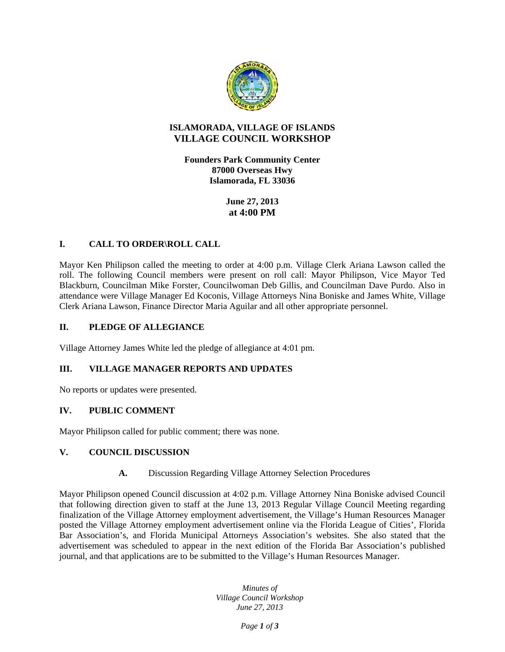

# **ISLAMORADA, VILLAGE OF ISLANDS VILLAGE COUNCIL WORKSHOP**

**Founders Park Community Center 87000 Overseas Hwy Islamorada, FL 33036** 

> **June 27, 2013 at 4:00 PM**

## **I. CALL TO ORDER\ROLL CALL**

Mayor Ken Philipson called the meeting to order at 4:00 p.m. Village Clerk Ariana Lawson called the roll. The following Council members were present on roll call: Mayor Philipson, Vice Mayor Ted Blackburn, Councilman Mike Forster, Councilwoman Deb Gillis, and Councilman Dave Purdo. Also in attendance were Village Manager Ed Koconis, Village Attorneys Nina Boniske and James White, Village Clerk Ariana Lawson, Finance Director Maria Aguilar and all other appropriate personnel.

### **II. PLEDGE OF ALLEGIANCE**

Village Attorney James White led the pledge of allegiance at 4:01 pm.

### **III. VILLAGE MANAGER REPORTS AND UPDATES**

No reports or updates were presented.

### **IV. PUBLIC COMMENT**

Mayor Philipson called for public comment; there was none.

### **V. COUNCIL DISCUSSION**

### **A.** Discussion Regarding Village Attorney Selection Procedures

Mayor Philipson opened Council discussion at 4:02 p.m. Village Attorney Nina Boniske advised Council that following direction given to staff at the June 13, 2013 Regular Village Council Meeting regarding finalization of the Village Attorney employment advertisement, the Village's Human Resources Manager posted the Village Attorney employment advertisement online via the Florida League of Cities', Florida Bar Association's, and Florida Municipal Attorneys Association's websites. She also stated that the advertisement was scheduled to appear in the next edition of the Florida Bar Association's published journal, and that applications are to be submitted to the Village's Human Resources Manager.

> *Minutes of Village Council Workshop June 27, 2013*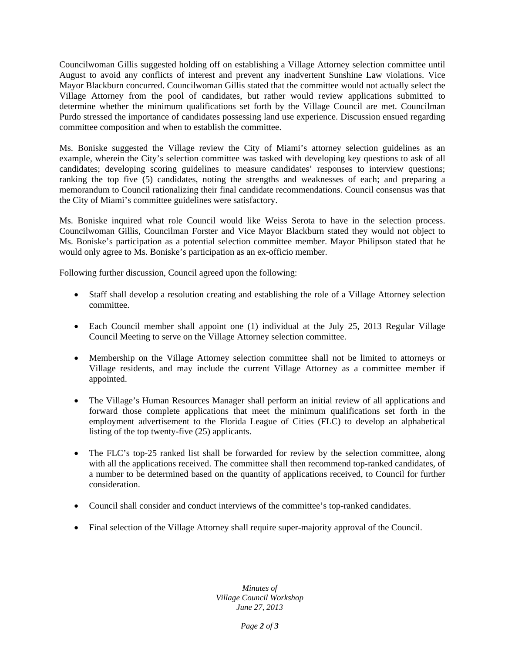Councilwoman Gillis suggested holding off on establishing a Village Attorney selection committee until August to avoid any conflicts of interest and prevent any inadvertent Sunshine Law violations. Vice Mayor Blackburn concurred. Councilwoman Gillis stated that the committee would not actually select the Village Attorney from the pool of candidates, but rather would review applications submitted to determine whether the minimum qualifications set forth by the Village Council are met. Councilman Purdo stressed the importance of candidates possessing land use experience. Discussion ensued regarding committee composition and when to establish the committee.

Ms. Boniske suggested the Village review the City of Miami's attorney selection guidelines as an example, wherein the City's selection committee was tasked with developing key questions to ask of all candidates; developing scoring guidelines to measure candidates' responses to interview questions; ranking the top five (5) candidates, noting the strengths and weaknesses of each; and preparing a memorandum to Council rationalizing their final candidate recommendations. Council consensus was that the City of Miami's committee guidelines were satisfactory.

Ms. Boniske inquired what role Council would like Weiss Serota to have in the selection process. Councilwoman Gillis, Councilman Forster and Vice Mayor Blackburn stated they would not object to Ms. Boniske's participation as a potential selection committee member. Mayor Philipson stated that he would only agree to Ms. Boniske's participation as an ex-officio member.

Following further discussion, Council agreed upon the following:

- Staff shall develop a resolution creating and establishing the role of a Village Attorney selection committee.
- Each Council member shall appoint one (1) individual at the July 25, 2013 Regular Village Council Meeting to serve on the Village Attorney selection committee.
- Membership on the Village Attorney selection committee shall not be limited to attorneys or Village residents, and may include the current Village Attorney as a committee member if appointed.
- The Village's Human Resources Manager shall perform an initial review of all applications and forward those complete applications that meet the minimum qualifications set forth in the employment advertisement to the Florida League of Cities (FLC) to develop an alphabetical listing of the top twenty-five (25) applicants.
- The FLC's top-25 ranked list shall be forwarded for review by the selection committee, along with all the applications received. The committee shall then recommend top-ranked candidates, of a number to be determined based on the quantity of applications received, to Council for further consideration.
- Council shall consider and conduct interviews of the committee's top-ranked candidates.
- Final selection of the Village Attorney shall require super-majority approval of the Council.

*Minutes of Village Council Workshop June 27, 2013*